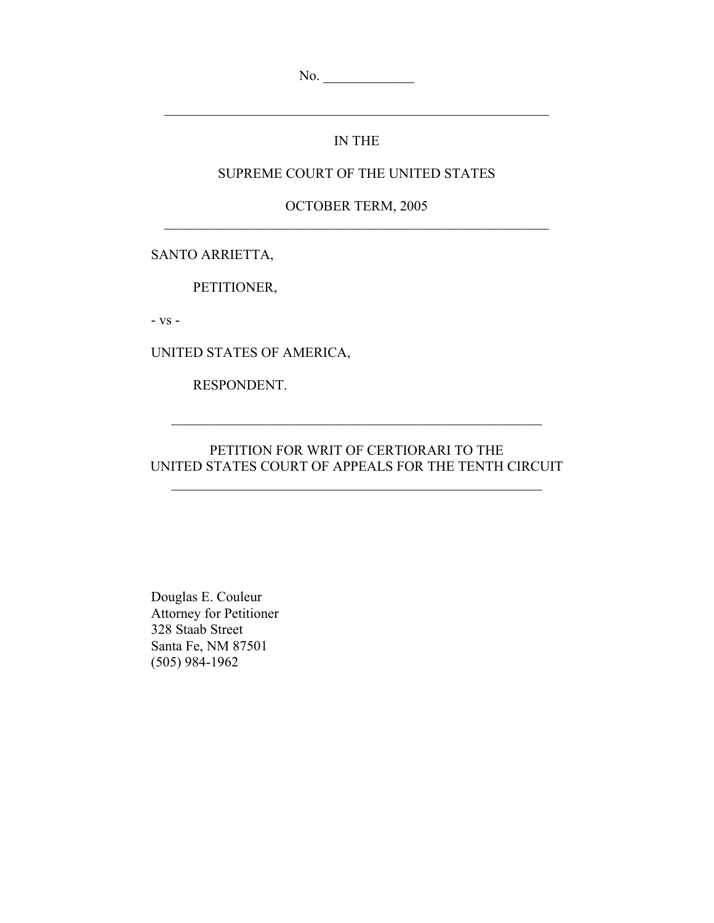No. \_\_\_\_\_\_\_\_\_\_\_\_\_

## IN THE

 $\mathcal{L}_\text{max}$  , and the contribution of the contribution of the contribution of the contribution of the contribution of the contribution of the contribution of the contribution of the contribution of the contribution of t

### SUPREME COURT OF THE UNITED STATES

OCTOBER TERM, 2005  $\mathcal{L}_\text{max}$  , and the contribution of the contribution of the contribution of the contribution of the contribution of the contribution of the contribution of the contribution of the contribution of the contribution of t

SANTO ARRIETTA,

PETITIONER,

- vs -

UNITED STATES OF AMERICA,

RESPONDENT.

### PETITION FOR WRIT OF CERTIORARI TO THE UNITED STATES COURT OF APPEALS FOR THE TENTH CIRCUIT

 $\mathcal{L}_\text{max}$  and the contract of the contract of the contract of the contract of the contract of the contract of the contract of the contract of the contract of the contract of the contract of the contract of the contrac

 $\mathcal{L}_\text{max}$  and the contract of the contract of the contract of the contract of the contract of the contract of the contract of the contract of the contract of the contract of the contract of the contract of the contrac

 Douglas E. Couleur Attorney for Petitioner 328 Staab Street Santa Fe, NM 87501 (505) 984-1962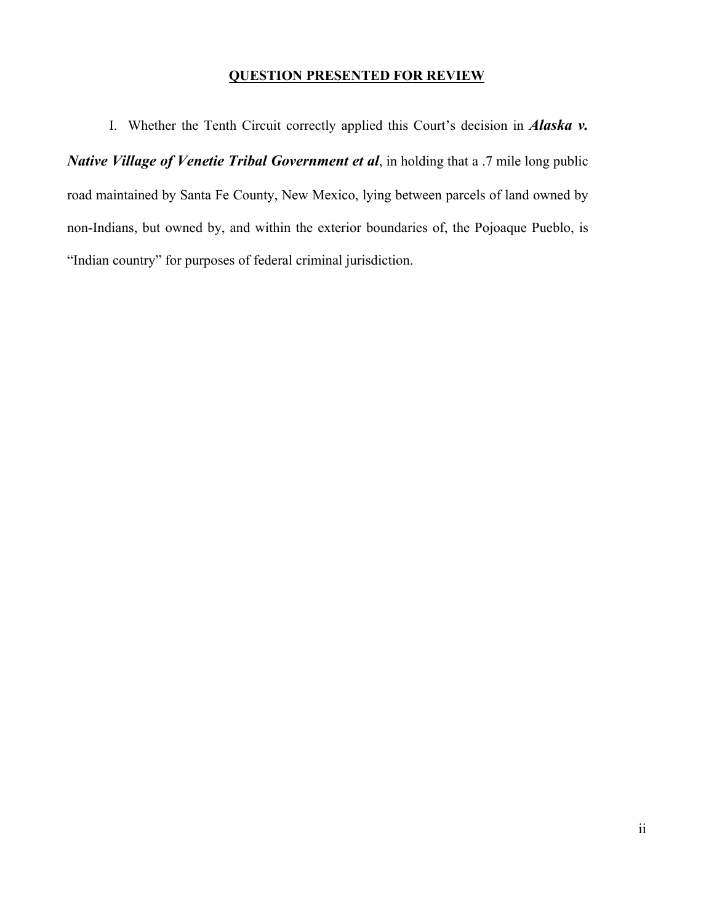## **QUESTION PRESENTED FOR REVIEW**

 I. Whether the Tenth Circuit correctly applied this Court's decision in *Alaska v. Native Village of Venetie Tribal Government et al*, in holding that a .7 mile long public road maintained by Santa Fe County, New Mexico, lying between parcels of land owned by non-Indians, but owned by, and within the exterior boundaries of, the Pojoaque Pueblo, is "Indian country" for purposes of federal criminal jurisdiction.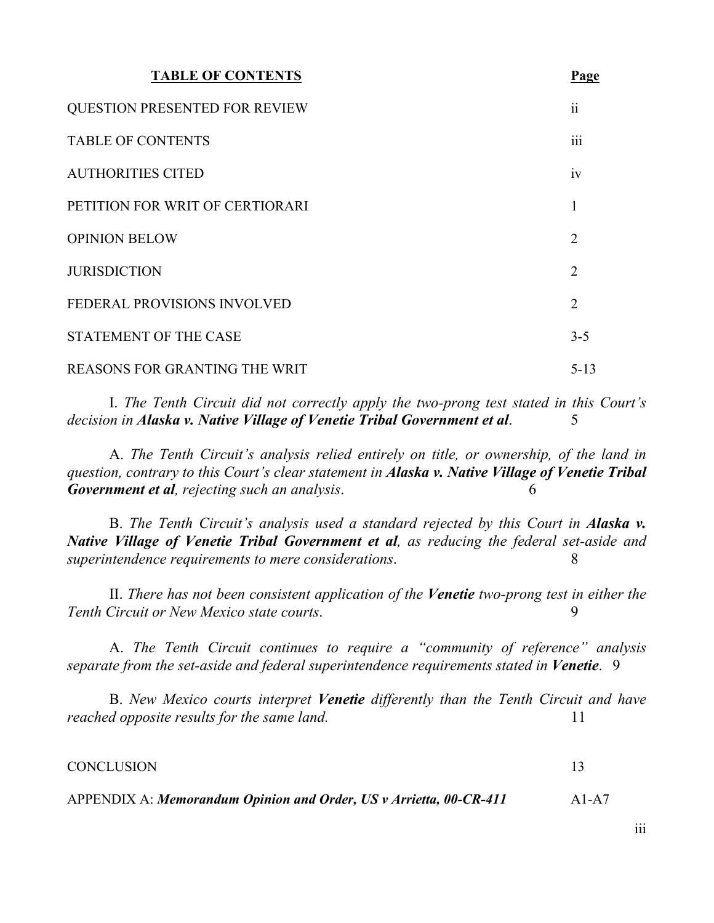| <b>TABLE OF CONTENTS</b>             | Page            |
|--------------------------------------|-----------------|
| <b>QUESTION PRESENTED FOR REVIEW</b> | $\ddot{\rm ii}$ |
| <b>TABLE OF CONTENTS</b>             | iii             |
| <b>AUTHORITIES CITED</b>             | 1V              |
| PETITION FOR WRIT OF CERTIORARI      | 1               |
| <b>OPINION BELOW</b>                 | $\overline{2}$  |
| <b>JURISDICTION</b>                  | $\overline{2}$  |
| FEDERAL PROVISIONS INVOLVED          | $\overline{2}$  |
| <b>STATEMENT OF THE CASE</b>         | $3 - 5$         |
| REASONS FOR GRANTING THE WRIT        | $5 - 13$        |

I. *The Tenth Circuit did not correctly apply the two-prong test stated in this Court's decision in Alaska v. Native Village of Venetie Tribal Government et al.* 5

A. *The Tenth Circuit's analysis relied entirely on title, or ownership, of the land in question, contrary to this Court's clear statement in Alaska v. Native Village of Venetie Tribal Government et al, rejecting such an analysis*. 6

B. *The Tenth Circuit's analysis used a standard rejected by this Court in Alaska v. Native Village of Venetie Tribal Government et al, as reducing the federal set-aside and superintendence requirements to mere considerations*. 8

II. *There has not been consistent application of the Venetie two-prong test in either the Tenth Circuit or New Mexico state courts*. 9

A. *The Tenth Circuit continues to require a "community of reference" analysis separate from the set-aside and federal superintendence requirements stated in Venetie.* 9

B. *New Mexico courts interpret Venetie differently than the Tenth Circuit and have reached opposite results for the same land.* 11

| <b>CONCLUSION</b> |  |
|-------------------|--|
|                   |  |

APPENDIX A: *Memorandum Opinion and Order, US v Arrietta, 00-CR-411* A1-A7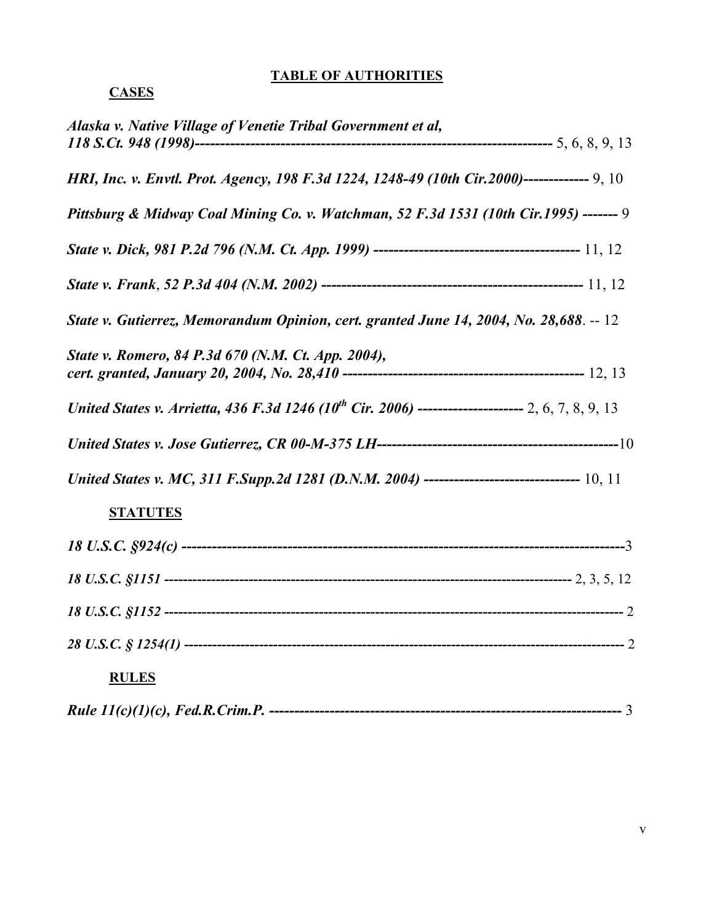## **TABLE OF AUTHORITIES**

# **CASES**

| Alaska v. Native Village of Venetie Tribal Government et al,                                                   |  |
|----------------------------------------------------------------------------------------------------------------|--|
| HRI, Inc. v. Envtl. Prot. Agency, 198 F.3d 1224, 1248-49 (10th Cir.2000)-------------- 9, 10                   |  |
| Pittsburg & Midway Coal Mining Co. v. Watchman, 52 F.3d 1531 (10th Cir.1995) ------- 9                         |  |
|                                                                                                                |  |
|                                                                                                                |  |
| State v. Gutierrez, Memorandum Opinion, cert. granted June 14, 2004, No. 28,688. -- 12                         |  |
| State v. Romero, 84 P.3d 670 (N.M. Ct. App. 2004),                                                             |  |
| United States v. Arrietta, 436 F.3d 1246 (10 <sup>th</sup> Cir. 2006) ---------------------- 2, 6, 7, 8, 9, 13 |  |
|                                                                                                                |  |
|                                                                                                                |  |
| <b>STATUTES</b>                                                                                                |  |
|                                                                                                                |  |
|                                                                                                                |  |
|                                                                                                                |  |
|                                                                                                                |  |
| <b>RULES</b>                                                                                                   |  |
|                                                                                                                |  |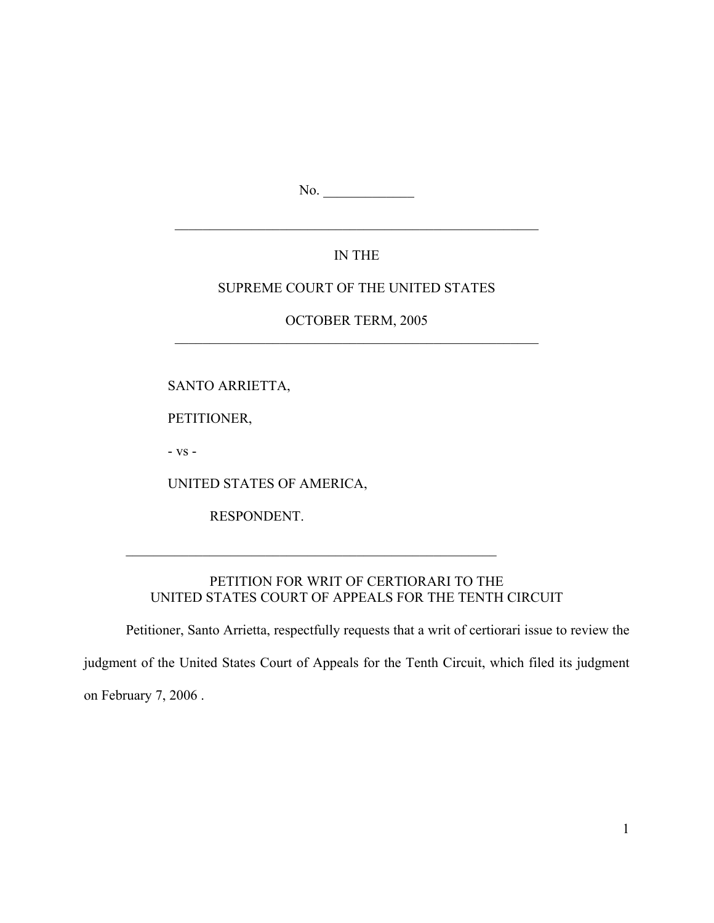No. \_\_\_\_\_\_\_\_\_\_\_\_\_

## IN THE

 $\mathcal{L}_\text{max}$  , and the contract of the contract of the contract of the contract of the contract of the contract of

### SUPREME COURT OF THE UNITED STATES

### OCTOBER TERM, 2005  $\mathcal{L}_\text{max}$  , and the contract of the contract of the contract of the contract of the contract of the contract of

SANTO ARRIETTA,

PETITIONER,

- vs -

UNITED STATES OF AMERICA,

 $\mathcal{L}_\text{max} = \frac{1}{2} \sum_{i=1}^{n} \frac{1}{2} \sum_{i=1}^{n} \frac{1}{2} \sum_{i=1}^{n} \frac{1}{2} \sum_{i=1}^{n} \frac{1}{2} \sum_{i=1}^{n} \frac{1}{2} \sum_{i=1}^{n} \frac{1}{2} \sum_{i=1}^{n} \frac{1}{2} \sum_{i=1}^{n} \frac{1}{2} \sum_{i=1}^{n} \frac{1}{2} \sum_{i=1}^{n} \frac{1}{2} \sum_{i=1}^{n} \frac{1}{2} \sum_{i=1}^{n} \frac{1$ 

RESPONDENT.

## PETITION FOR WRIT OF CERTIORARI TO THE UNITED STATES COURT OF APPEALS FOR THE TENTH CIRCUIT

Petitioner, Santo Arrietta, respectfully requests that a writ of certiorari issue to review the

judgment of the United States Court of Appeals for the Tenth Circuit, which filed its judgment

on February 7, 2006 .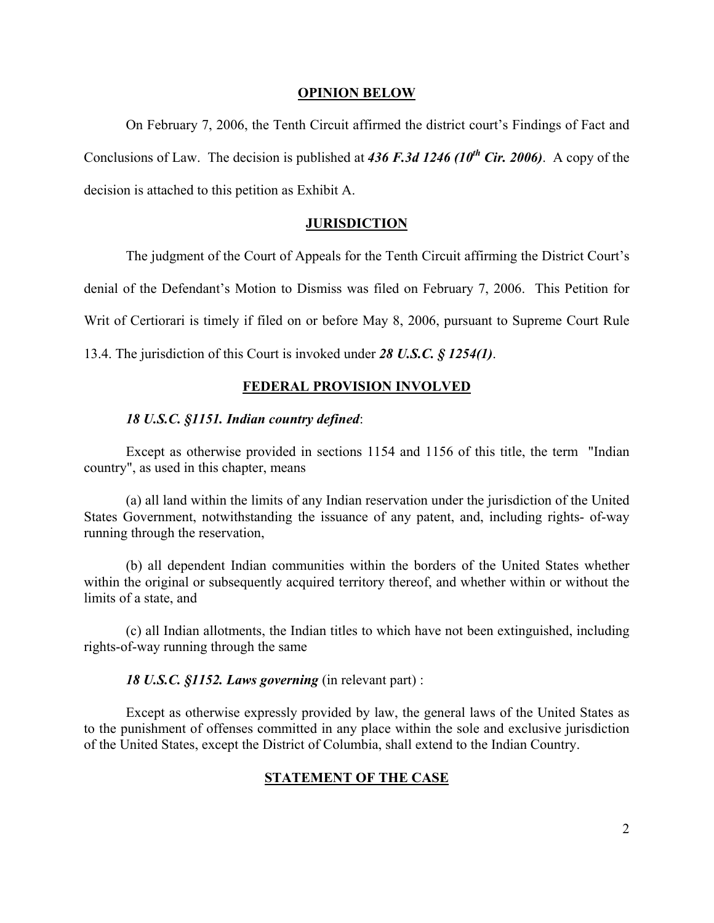#### **OPINION BELOW**

 On February 7, 2006, the Tenth Circuit affirmed the district court's Findings of Fact and Conclusions of Law. The decision is published at *436 F.3d 1246 (10th Cir. 2006)*. A copy of the decision is attached to this petition as Exhibit A.

#### **JURISDICTION**

The judgment of the Court of Appeals for the Tenth Circuit affirming the District Court's

denial of the Defendant's Motion to Dismiss was filed on February 7, 2006. This Petition for

Writ of Certiorari is timely if filed on or before May 8, 2006, pursuant to Supreme Court Rule

13.4. The jurisdiction of this Court is invoked under *28 U.S.C. § 1254(1)*.

#### **FEDERAL PROVISION INVOLVED**

#### *18 U.S.C. §1151. Indian country defined*:

Except as otherwise provided in sections 1154 and 1156 of this title, the term "Indian country", as used in this chapter, means

(a) all land within the limits of any Indian reservation under the jurisdiction of the United States Government, notwithstanding the issuance of any patent, and, including rights- of-way running through the reservation,

(b) all dependent Indian communities within the borders of the United States whether within the original or subsequently acquired territory thereof, and whether within or without the limits of a state, and

(c) all Indian allotments, the Indian titles to which have not been extinguished, including rights-of-way running through the same

#### *18 U.S.C. §1152. Laws governing* (in relevant part) :

Except as otherwise expressly provided by law, the general laws of the United States as to the punishment of offenses committed in any place within the sole and exclusive jurisdiction of the United States, except the District of Columbia, shall extend to the Indian Country.

### **STATEMENT OF THE CASE**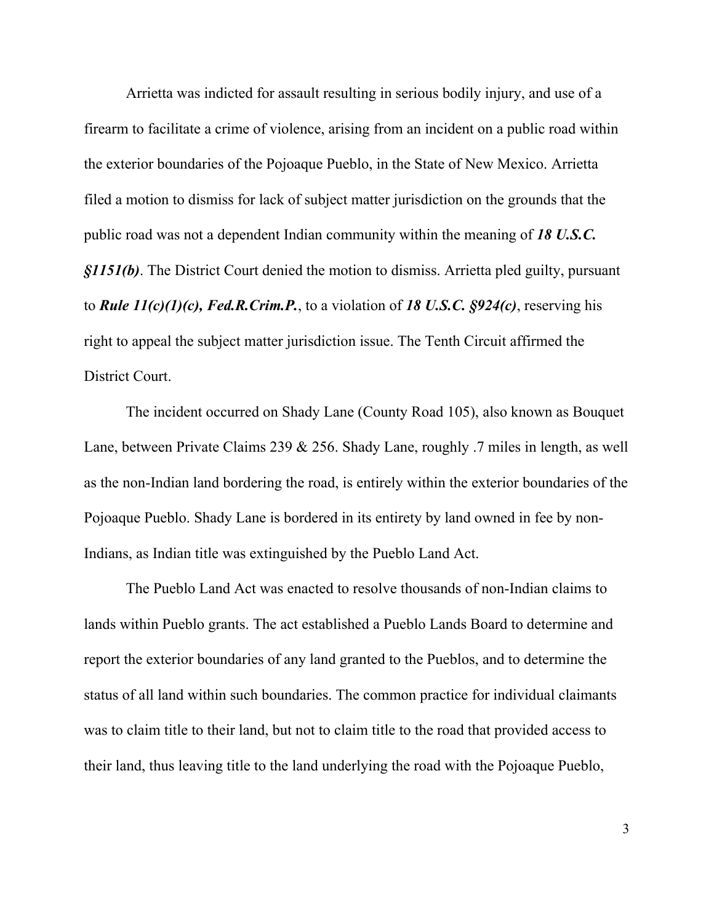Arrietta was indicted for assault resulting in serious bodily injury, and use of a firearm to facilitate a crime of violence, arising from an incident on a public road within the exterior boundaries of the Pojoaque Pueblo, in the State of New Mexico. Arrietta filed a motion to dismiss for lack of subject matter jurisdiction on the grounds that the public road was not a dependent Indian community within the meaning of *18 U.S.C. §1151(b)*. The District Court denied the motion to dismiss. Arrietta pled guilty, pursuant to *Rule 11(c)(1)(c), Fed.R.Crim.P.*, to a violation of *18 U.S.C. §924(c)*, reserving his right to appeal the subject matter jurisdiction issue. The Tenth Circuit affirmed the District Court.

 The incident occurred on Shady Lane (County Road 105), also known as Bouquet Lane, between Private Claims 239 & 256. Shady Lane, roughly .7 miles in length, as well as the non-Indian land bordering the road, is entirely within the exterior boundaries of the Pojoaque Pueblo. Shady Lane is bordered in its entirety by land owned in fee by non-Indians, as Indian title was extinguished by the Pueblo Land Act.

 The Pueblo Land Act was enacted to resolve thousands of non-Indian claims to lands within Pueblo grants. The act established a Pueblo Lands Board to determine and report the exterior boundaries of any land granted to the Pueblos, and to determine the status of all land within such boundaries. The common practice for individual claimants was to claim title to their land, but not to claim title to the road that provided access to their land, thus leaving title to the land underlying the road with the Pojoaque Pueblo,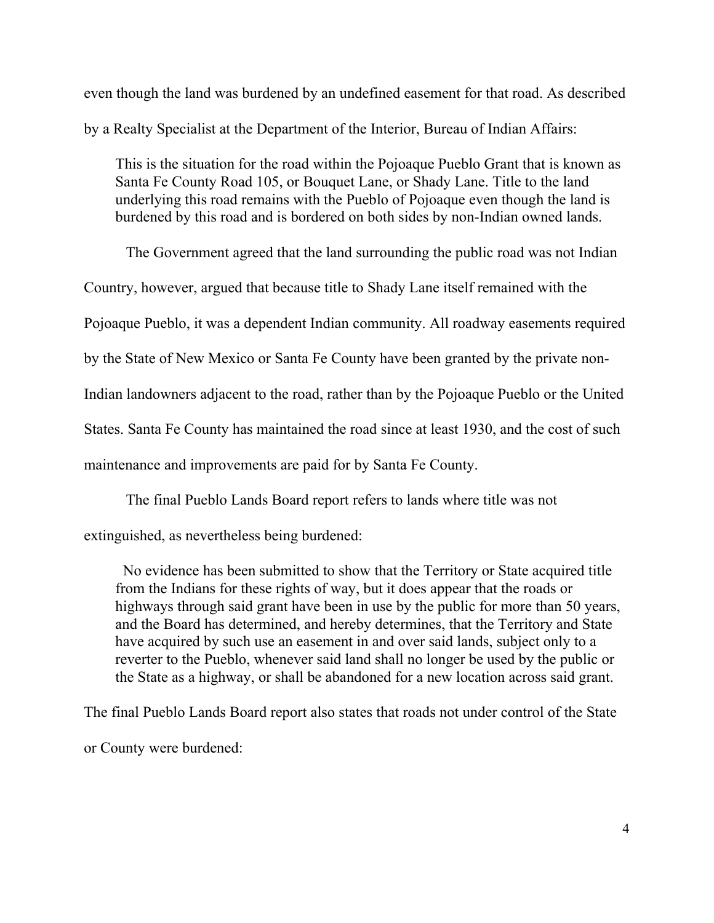even though the land was burdened by an undefined easement for that road. As described by a Realty Specialist at the Department of the Interior, Bureau of Indian Affairs:

This is the situation for the road within the Pojoaque Pueblo Grant that is known as Santa Fe County Road 105, or Bouquet Lane, or Shady Lane. Title to the land underlying this road remains with the Pueblo of Pojoaque even though the land is burdened by this road and is bordered on both sides by non-Indian owned lands.

The Government agreed that the land surrounding the public road was not Indian

Country, however, argued that because title to Shady Lane itself remained with the

Pojoaque Pueblo, it was a dependent Indian community. All roadway easements required

by the State of New Mexico or Santa Fe County have been granted by the private non-

Indian landowners adjacent to the road, rather than by the Pojoaque Pueblo or the United

States. Santa Fe County has maintained the road since at least 1930, and the cost of such

maintenance and improvements are paid for by Santa Fe County.

The final Pueblo Lands Board report refers to lands where title was not

extinguished, as nevertheless being burdened:

 No evidence has been submitted to show that the Territory or State acquired title from the Indians for these rights of way, but it does appear that the roads or highways through said grant have been in use by the public for more than 50 years, and the Board has determined, and hereby determines, that the Territory and State have acquired by such use an easement in and over said lands, subject only to a reverter to the Pueblo, whenever said land shall no longer be used by the public or the State as a highway, or shall be abandoned for a new location across said grant.

The final Pueblo Lands Board report also states that roads not under control of the State or County were burdened: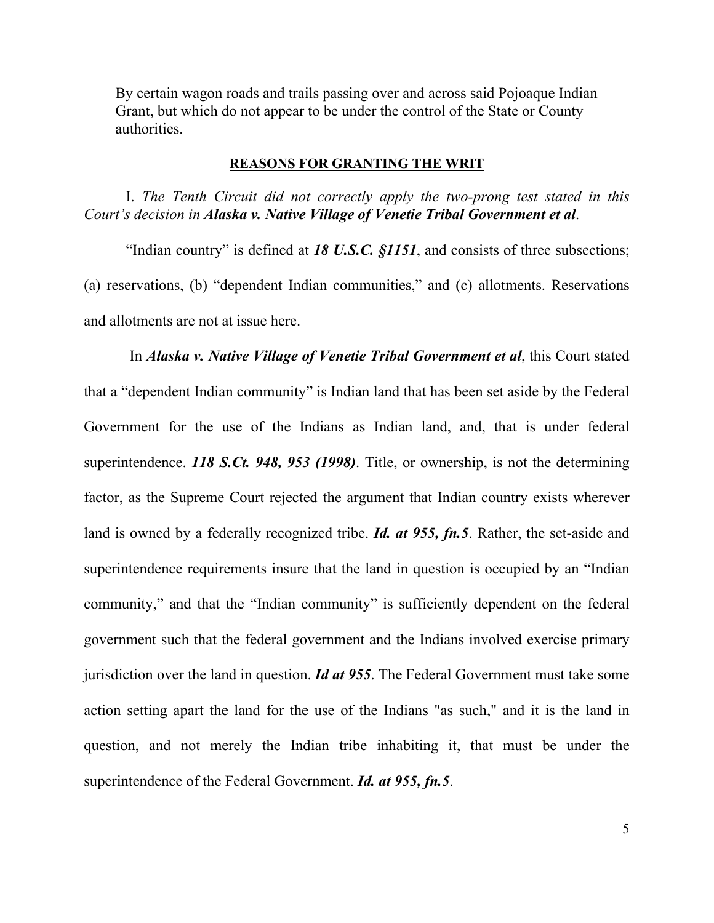By certain wagon roads and trails passing over and across said Pojoaque Indian Grant, but which do not appear to be under the control of the State or County authorities.

#### **REASONS FOR GRANTING THE WRIT**

I. *The Tenth Circuit did not correctly apply the two-prong test stated in this Court's decision in Alaska v. Native Village of Venetie Tribal Government et al*.

"Indian country" is defined at *18 U.S.C. §1151*, and consists of three subsections; (a) reservations, (b) "dependent Indian communities," and (c) allotments. Reservations and allotments are not at issue here.

 In *Alaska v. Native Village of Venetie Tribal Government et al*, this Court stated that a "dependent Indian community" is Indian land that has been set aside by the Federal Government for the use of the Indians as Indian land, and, that is under federal superintendence. *118 S.Ct. 948, 953 (1998)*. Title, or ownership, is not the determining factor, as the Supreme Court rejected the argument that Indian country exists wherever land is owned by a federally recognized tribe. *Id. at 955, fn.5*. Rather, the set-aside and superintendence requirements insure that the land in question is occupied by an "Indian community," and that the "Indian community" is sufficiently dependent on the federal government such that the federal government and the Indians involved exercise primary jurisdiction over the land in question. *Id at 955*. The Federal Government must take some action setting apart the land for the use of the Indians "as such," and it is the land in question, and not merely the Indian tribe inhabiting it, that must be under the superintendence of the Federal Government. *Id. at 955, fn.5*.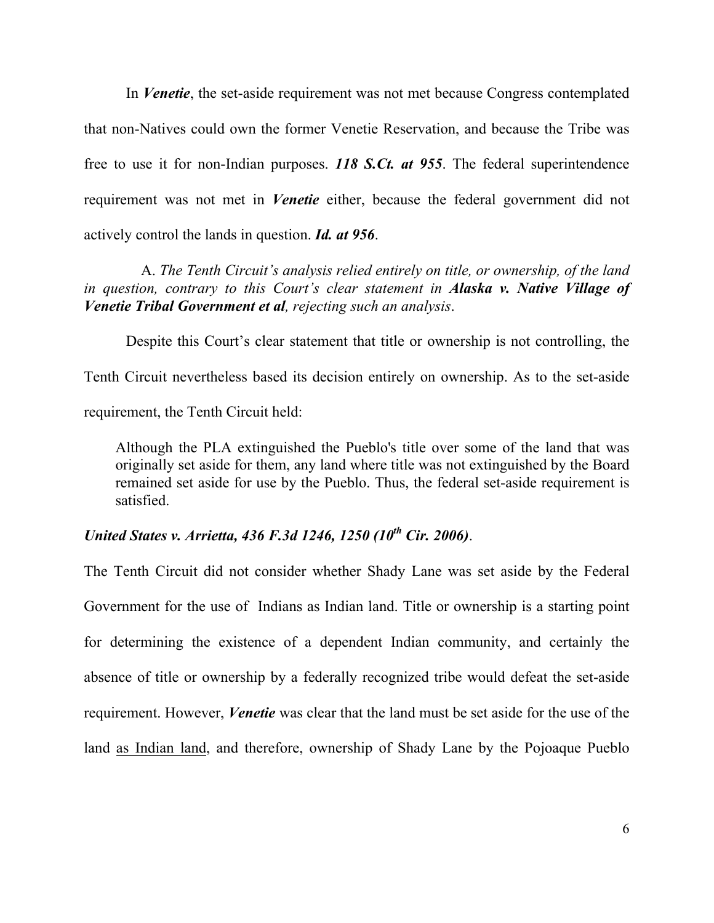In *Venetie*, the set-aside requirement was not met because Congress contemplated that non-Natives could own the former Venetie Reservation, and because the Tribe was free to use it for non-Indian purposes. *118 S.Ct. at 955*. The federal superintendence requirement was not met in *Venetie* either, because the federal government did not actively control the lands in question. *Id. at 956*.

 A. *The Tenth Circuit's analysis relied entirely on title, or ownership, of the land in question, contrary to this Court's clear statement in Alaska v. Native Village of Venetie Tribal Government et al, rejecting such an analysis*.

Despite this Court's clear statement that title or ownership is not controlling, the Tenth Circuit nevertheless based its decision entirely on ownership. As to the set-aside requirement, the Tenth Circuit held:

Although the PLA extinguished the Pueblo's title over some of the land that was originally set aside for them, any land where title was not extinguished by the Board remained set aside for use by the Pueblo. Thus, the federal set-aside requirement is satisfied.

# *United States v. Arrietta, 436 F.3d 1246, 1250 (10<sup>th</sup> Cir. 2006).*

The Tenth Circuit did not consider whether Shady Lane was set aside by the Federal Government for the use of Indians as Indian land. Title or ownership is a starting point for determining the existence of a dependent Indian community, and certainly the absence of title or ownership by a federally recognized tribe would defeat the set-aside requirement. However, *Venetie* was clear that the land must be set aside for the use of the land as Indian land, and therefore, ownership of Shady Lane by the Pojoaque Pueblo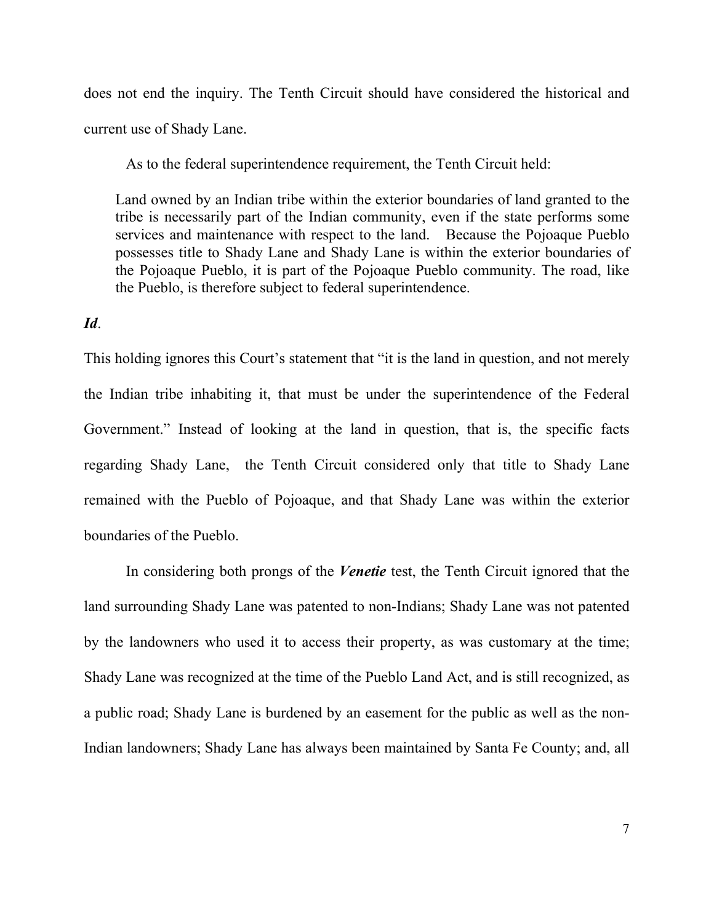does not end the inquiry. The Tenth Circuit should have considered the historical and current use of Shady Lane.

As to the federal superintendence requirement, the Tenth Circuit held:

Land owned by an Indian tribe within the exterior boundaries of land granted to the tribe is necessarily part of the Indian community, even if the state performs some services and maintenance with respect to the land. Because the Pojoaque Pueblo possesses title to Shady Lane and Shady Lane is within the exterior boundaries of the Pojoaque Pueblo, it is part of the Pojoaque Pueblo community. The road, like the Pueblo, is therefore subject to federal superintendence.

### *Id*.

This holding ignores this Court's statement that "it is the land in question, and not merely the Indian tribe inhabiting it, that must be under the superintendence of the Federal Government." Instead of looking at the land in question, that is, the specific facts regarding Shady Lane, the Tenth Circuit considered only that title to Shady Lane remained with the Pueblo of Pojoaque, and that Shady Lane was within the exterior boundaries of the Pueblo.

 In considering both prongs of the *Venetie* test, the Tenth Circuit ignored that the land surrounding Shady Lane was patented to non-Indians; Shady Lane was not patented by the landowners who used it to access their property, as was customary at the time; Shady Lane was recognized at the time of the Pueblo Land Act, and is still recognized, as a public road; Shady Lane is burdened by an easement for the public as well as the non-Indian landowners; Shady Lane has always been maintained by Santa Fe County; and, all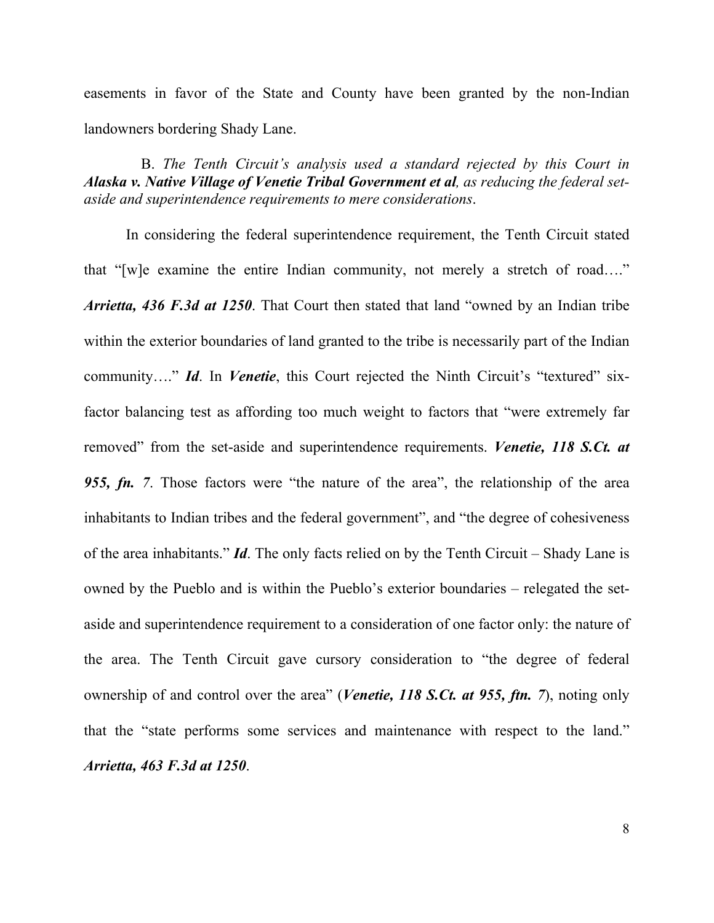easements in favor of the State and County have been granted by the non-Indian landowners bordering Shady Lane.

 B. *The Tenth Circuit's analysis used a standard rejected by this Court in Alaska v. Native Village of Venetie Tribal Government et al, as reducing the federal setaside and superintendence requirements to mere considerations*.

 In considering the federal superintendence requirement, the Tenth Circuit stated that "[w]e examine the entire Indian community, not merely a stretch of road…." *Arrietta, 436 F.3d at 1250*. That Court then stated that land "owned by an Indian tribe within the exterior boundaries of land granted to the tribe is necessarily part of the Indian community…." *Id*. In *Venetie*, this Court rejected the Ninth Circuit's "textured" sixfactor balancing test as affording too much weight to factors that "were extremely far removed" from the set-aside and superintendence requirements. *Venetie, 118 S.Ct. at 955, fn. 7*. Those factors were "the nature of the area", the relationship of the area inhabitants to Indian tribes and the federal government", and "the degree of cohesiveness of the area inhabitants." *Id*. The only facts relied on by the Tenth Circuit – Shady Lane is owned by the Pueblo and is within the Pueblo's exterior boundaries – relegated the setaside and superintendence requirement to a consideration of one factor only: the nature of the area. The Tenth Circuit gave cursory consideration to "the degree of federal ownership of and control over the area" (*Venetie, 118 S.Ct. at 955, ftn. 7*), noting only that the "state performs some services and maintenance with respect to the land." *Arrietta, 463 F.3d at 1250*.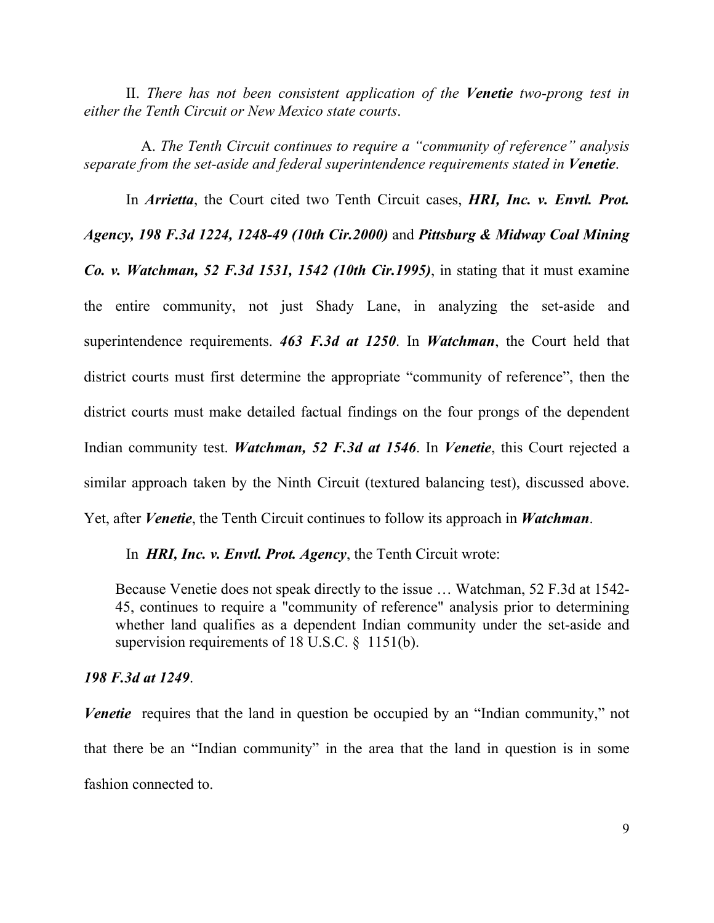II. *There has not been consistent application of the Venetie two-prong test in either the Tenth Circuit or New Mexico state courts*.

 A. *The Tenth Circuit continues to require a "community of reference" analysis separate from the set-aside and federal superintendence requirements stated in Venetie*.

 In *Arrietta*, the Court cited two Tenth Circuit cases, *HRI, Inc. v. Envtl. Prot. Agency, 198 F.3d 1224, 1248-49 (10th Cir.2000)* and *Pittsburg & Midway Coal Mining Co. v. Watchman, 52 F.3d 1531, 1542 (10th Cir.1995)*, in stating that it must examine the entire community, not just Shady Lane, in analyzing the set-aside and superintendence requirements. *463 F.3d at 1250*. In *Watchman*, the Court held that district courts must first determine the appropriate "community of reference", then the district courts must make detailed factual findings on the four prongs of the dependent Indian community test. *Watchman, 52 F.3d at 1546*. In *Venetie*, this Court rejected a similar approach taken by the Ninth Circuit (textured balancing test), discussed above. Yet, after *Venetie*, the Tenth Circuit continues to follow its approach in *Watchman*.

In *HRI, Inc. v. Envtl. Prot. Agency*, the Tenth Circuit wrote:

Because Venetie does not speak directly to the issue … Watchman, 52 F.3d at 1542- 45, continues to require a "community of reference" analysis prior to determining whether land qualifies as a dependent Indian community under the set-aside and supervision requirements of 18 U.S.C. § 1151(b).

### *198 F.3d at 1249*.

*Venetie* requires that the land in question be occupied by an "Indian community," not that there be an "Indian community" in the area that the land in question is in some fashion connected to.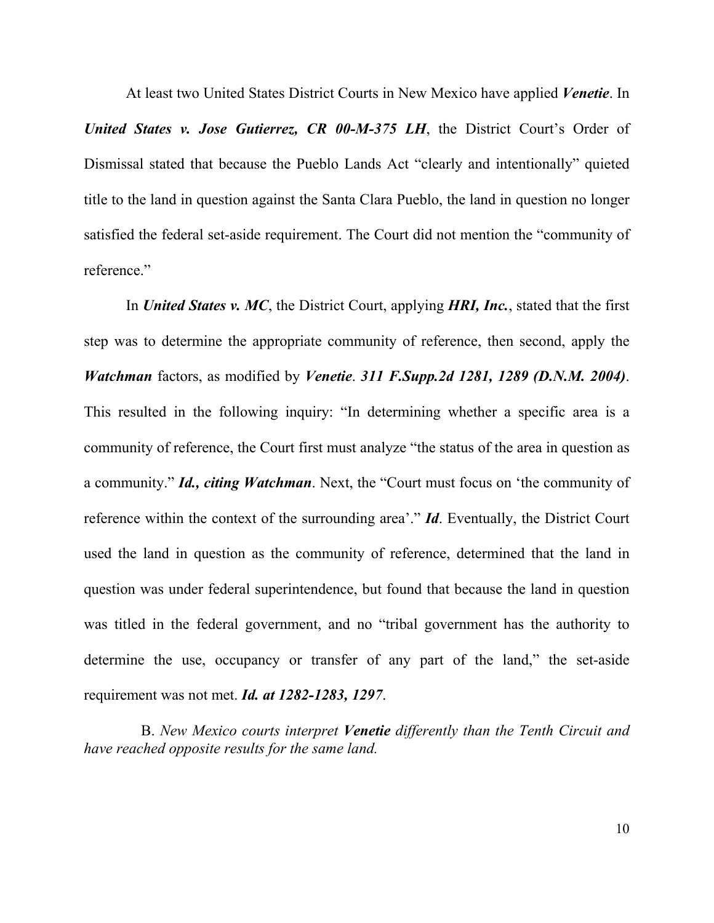At least two United States District Courts in New Mexico have applied *Venetie*. In *United States v. Jose Gutierrez, CR 00-M-375 LH*, the District Court's Order of Dismissal stated that because the Pueblo Lands Act "clearly and intentionally" quieted title to the land in question against the Santa Clara Pueblo, the land in question no longer satisfied the federal set-aside requirement. The Court did not mention the "community of reference."

 In *United States v. MC*, the District Court, applying *HRI, Inc.*, stated that the first step was to determine the appropriate community of reference, then second, apply the *Watchman* factors, as modified by *Venetie*. *311 F.Supp.2d 1281, 1289 (D.N.M. 2004)*. This resulted in the following inquiry: "In determining whether a specific area is a community of reference, the Court first must analyze "the status of the area in question as a community." *Id., citing Watchman*. Next, the "Court must focus on 'the community of reference within the context of the surrounding area'." *Id*. Eventually, the District Court used the land in question as the community of reference, determined that the land in question was under federal superintendence, but found that because the land in question was titled in the federal government, and no "tribal government has the authority to determine the use, occupancy or transfer of any part of the land," the set-aside requirement was not met. *Id. at 1282-1283, 1297*.

 B. *New Mexico courts interpret Venetie differently than the Tenth Circuit and have reached opposite results for the same land.*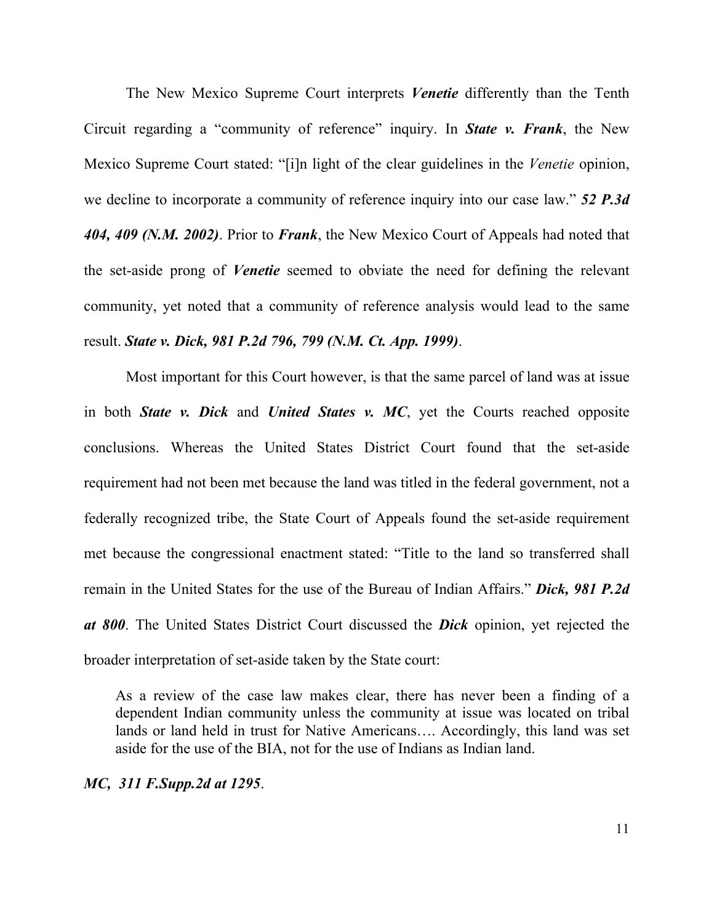The New Mexico Supreme Court interprets *Venetie* differently than the Tenth Circuit regarding a "community of reference" inquiry. In *State v. Frank*, the New Mexico Supreme Court stated: "[i]n light of the clear guidelines in the *Venetie* opinion, we decline to incorporate a community of reference inquiry into our case law." *52 P.3d 404, 409 (N.M. 2002)*. Prior to *Frank*, the New Mexico Court of Appeals had noted that the set-aside prong of *Venetie* seemed to obviate the need for defining the relevant community, yet noted that a community of reference analysis would lead to the same result. *State v. Dick, 981 P.2d 796, 799 (N.M. Ct. App. 1999)*.

Most important for this Court however, is that the same parcel of land was at issue in both *State v. Dick* and *United States v. MC*, yet the Courts reached opposite conclusions. Whereas the United States District Court found that the set-aside requirement had not been met because the land was titled in the federal government, not a federally recognized tribe, the State Court of Appeals found the set-aside requirement met because the congressional enactment stated: "Title to the land so transferred shall remain in the United States for the use of the Bureau of Indian Affairs." *Dick, 981 P.2d at 800*. The United States District Court discussed the *Dick* opinion, yet rejected the broader interpretation of set-aside taken by the State court:

As a review of the case law makes clear, there has never been a finding of a dependent Indian community unless the community at issue was located on tribal lands or land held in trust for Native Americans…. Accordingly, this land was set aside for the use of the BIA, not for the use of Indians as Indian land.

*MC, 311 F.Supp.2d at 1295*.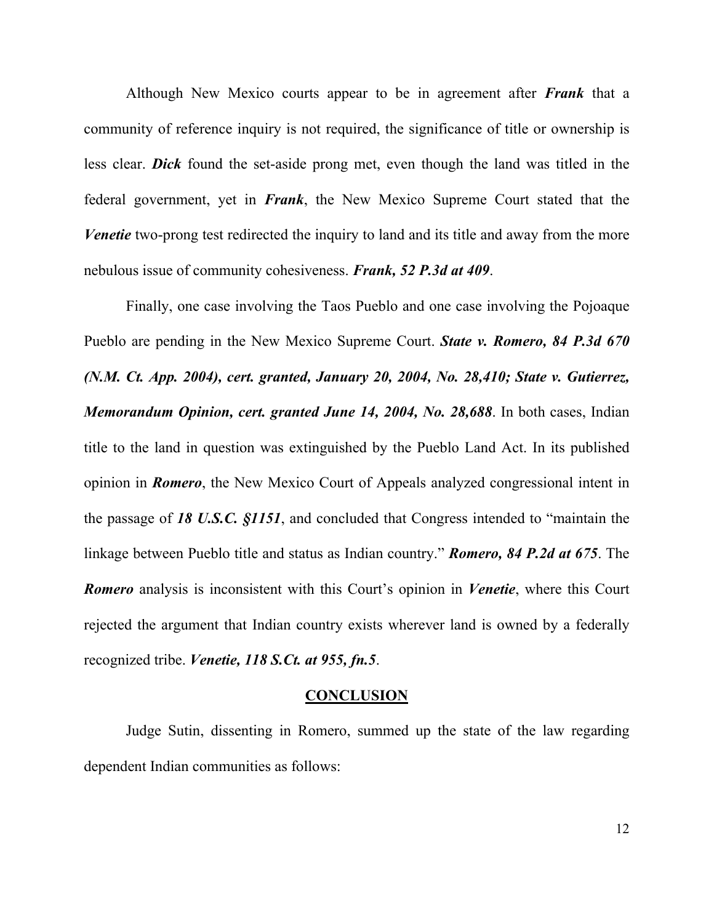Although New Mexico courts appear to be in agreement after *Frank* that a community of reference inquiry is not required, the significance of title or ownership is less clear. *Dick* found the set-aside prong met, even though the land was titled in the federal government, yet in *Frank*, the New Mexico Supreme Court stated that the *Venetie* two-prong test redirected the inquiry to land and its title and away from the more nebulous issue of community cohesiveness. *Frank, 52 P.3d at 409*.

 Finally, one case involving the Taos Pueblo and one case involving the Pojoaque Pueblo are pending in the New Mexico Supreme Court. *State v. Romero, 84 P.3d 670 (N.M. Ct. App. 2004), cert. granted, January 20, 2004, No. 28,410; State v. Gutierrez, Memorandum Opinion, cert. granted June 14, 2004, No. 28,688*. In both cases, Indian title to the land in question was extinguished by the Pueblo Land Act. In its published opinion in *Romero*, the New Mexico Court of Appeals analyzed congressional intent in the passage of *18 U.S.C. §1151*, and concluded that Congress intended to "maintain the linkage between Pueblo title and status as Indian country." *Romero, 84 P.2d at 675*. The *Romero* analysis is inconsistent with this Court's opinion in *Venetie*, where this Court rejected the argument that Indian country exists wherever land is owned by a federally recognized tribe. *Venetie, 118 S.Ct. at 955, fn.5*.

#### **CONCLUSION**

 Judge Sutin, dissenting in Romero, summed up the state of the law regarding dependent Indian communities as follows: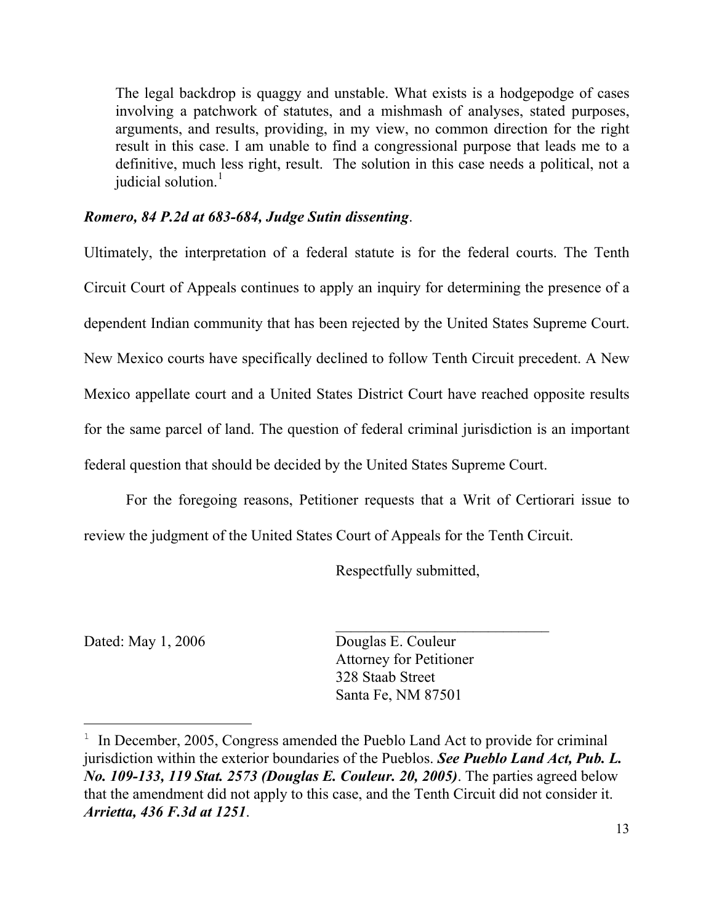The legal backdrop is quaggy and unstable. What exists is a hodgepodge of cases involving a patchwork of statutes, and a mishmash of analyses, stated purposes, arguments, and results, providing, in my view, no common direction for the right result in this case. I am unable to find a congressional purpose that leads me to a definitive, much less right, result. The solution in this case needs a political, not a judicial solution.<sup>[1](#page-17-0)</sup>

### *Romero, 84 P.2d at 683-684, Judge Sutin dissenting*.

Ultimately, the interpretation of a federal statute is for the federal courts. The Tenth Circuit Court of Appeals continues to apply an inquiry for determining the presence of a dependent Indian community that has been rejected by the United States Supreme Court. New Mexico courts have specifically declined to follow Tenth Circuit precedent. A New Mexico appellate court and a United States District Court have reached opposite results for the same parcel of land. The question of federal criminal jurisdiction is an important federal question that should be decided by the United States Supreme Court.

For the foregoing reasons, Petitioner requests that a Writ of Certiorari issue to review the judgment of the United States Court of Appeals for the Tenth Circuit.

Respectfully submitted,

i

Dated: May 1, 2006 Douglas E. Couleur Attorney for Petitioner 328 Staab Street Santa Fe, NM 87501

<span id="page-17-0"></span><sup>&</sup>lt;sup>1</sup> In December, 2005, Congress amended the Pueblo Land Act to provide for criminal jurisdiction within the exterior boundaries of the Pueblos. *See Pueblo Land Act, Pub. L. No. 109-133, 119 Stat. 2573 (Douglas E. Couleur. 20, 2005)*. The parties agreed below that the amendment did not apply to this case, and the Tenth Circuit did not consider it. *Arrietta, 436 F.3d at 1251*.